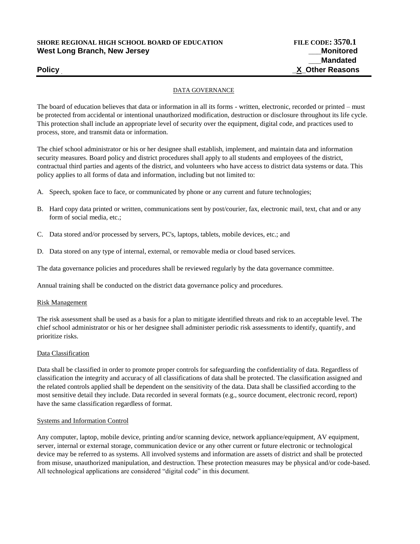# **SHORE REGIONAL HIGH SCHOOL BOARD OF EDUCATION FILE CODE: 3570.1** West Long Branch, New Jersey **New Struck and American** and *Monitored* **Monitored**

#### DATA GOVERNANCE

The board of education believes that data or information in all its forms - written, electronic, recorded or printed – must be protected from accidental or intentional unauthorized modification, destruction or disclosure throughout its life cycle. This protection shall include an appropriate level of security over the equipment, digital code, and practices used to process, store, and transmit data or information.

The chief school administrator or his or her designee shall establish, implement, and maintain data and information security measures. Board policy and district procedures shall apply to all students and employees of the district, contractual third parties and agents of the district, and volunteers who have access to district data systems or data. This policy applies to all forms of data and information, including but not limited to:

- A. Speech, spoken face to face, or communicated by phone or any current and future technologies;
- B. Hard copy data printed or written, communications sent by post/courier, fax, electronic mail, text, chat and or any form of social media, etc.;
- C. Data stored and/or processed by servers, PC's, laptops, tablets, mobile devices, etc.; and
- D. Data stored on any type of internal, external, or removable media or cloud based services.

The data governance policies and procedures shall be reviewed regularly by the data governance committee.

Annual training shall be conducted on the district data governance policy and procedures.

#### Risk Management

The risk assessment shall be used as a basis for a plan to mitigate identified threats and risk to an acceptable level. The chief school administrator or his or her designee shall administer periodic risk assessments to identify, quantify, and prioritize risks.

#### Data Classification

Data shall be classified in order to promote proper controls for safeguarding the confidentiality of data. Regardless of classification the integrity and accuracy of all classifications of data shall be protected. The classification assigned and the related controls applied shall be dependent on the sensitivity of the data. Data shall be classified according to the most sensitive detail they include. Data recorded in several formats (e.g., source document, electronic record, report) have the same classification regardless of format.

#### Systems and Information Control

Any computer, laptop, mobile device, printing and/or scanning device, network appliance/equipment, AV equipment, server, internal or external storage, communication device or any other current or future electronic or technological device may be referred to as systems. All involved systems and information are assets of district and shall be protected from misuse, unauthorized manipulation, and destruction. These protection measures may be physical and/or code-based. All technological applications are considered "digital code" in this document.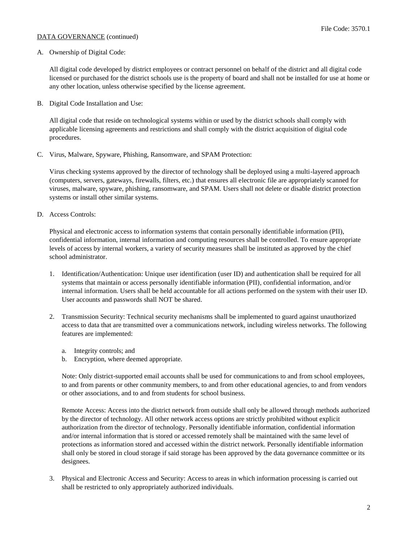#### File Code: 3570.1

# DATA GOVERNANCE (continued)

#### A. Ownership of Digital Code:

All digital code developed by district employees or contract personnel on behalf of the district and all digital code licensed or purchased for the district schools use is the property of board and shall not be installed for use at home or any other location, unless otherwise specified by the license agreement.

B. Digital Code Installation and Use:

All digital code that reside on technological systems within or used by the district schools shall comply with applicable licensing agreements and restrictions and shall comply with the district acquisition of digital code procedures.

C. Virus, Malware, Spyware, Phishing, Ransomware, and SPAM Protection:

Virus checking systems approved by the director of technology shall be deployed using a multi-layered approach (computers, servers, gateways, firewalls, filters, etc.) that ensures all electronic file are appropriately scanned for viruses, malware, spyware, phishing, ransomware, and SPAM. Users shall not delete or disable district protection systems or install other similar systems.

D. Access Controls:

Physical and electronic access to information systems that contain personally identifiable information (PII), confidential information, internal information and computing resources shall be controlled. To ensure appropriate levels of access by internal workers, a variety of security measures shall be instituted as approved by the chief school administrator.

- 1. Identification/Authentication: Unique user identification (user ID) and authentication shall be required for all systems that maintain or access personally identifiable information (PII), confidential information, and/or internal information. Users shall be held accountable for all actions performed on the system with their user ID. User accounts and passwords shall NOT be shared.
- 2. Transmission Security: Technical security mechanisms shall be implemented to guard against unauthorized access to data that are transmitted over a communications network, including wireless networks. The following features are implemented:
	- a. Integrity controls; and
	- b. Encryption, where deemed appropriate.

Note: Only district-supported email accounts shall be used for communications to and from school employees, to and from parents or other community members, to and from other educational agencies, to and from vendors or other associations, and to and from students for school business.

Remote Access: Access into the district network from outside shall only be allowed through methods authorized by the director of technology. All other network access options are strictly prohibited without explicit authorization from the director of technology. Personally identifiable information, confidential information and/or internal information that is stored or accessed remotely shall be maintained with the same level of protections as information stored and accessed within the district network. Personally identifiable information shall only be stored in cloud storage if said storage has been approved by the data governance committee or its designees.

3. Physical and Electronic Access and Security: Access to areas in which information processing is carried out shall be restricted to only appropriately authorized individuals.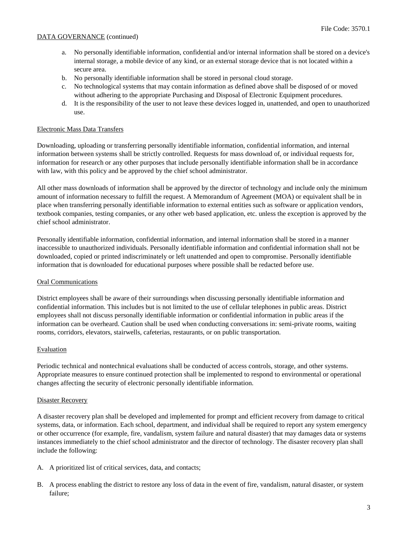# DATA GOVERNANCE (continued)

- a. No personally identifiable information, confidential and/or internal information shall be stored on a device's internal storage, a mobile device of any kind, or an external storage device that is not located within a secure area.
- b. No personally identifiable information shall be stored in personal cloud storage.
- c. No technological systems that may contain information as defined above shall be disposed of or moved without adhering to the appropriate Purchasing and Disposal of Electronic Equipment procedures.
- d. It is the responsibility of the user to not leave these devices logged in, unattended, and open to unauthorized use.

#### Electronic Mass Data Transfers

Downloading, uploading or transferring personally identifiable information, confidential information, and internal information between systems shall be strictly controlled. Requests for mass download of, or individual requests for, information for research or any other purposes that include personally identifiable information shall be in accordance with law, with this policy and be approved by the chief school administrator.

All other mass downloads of information shall be approved by the director of technology and include only the minimum amount of information necessary to fulfill the request. A Memorandum of Agreement (MOA) or equivalent shall be in place when transferring personally identifiable information to external entities such as software or application vendors, textbook companies, testing companies, or any other web based application, etc. unless the exception is approved by the chief school administrator.

Personally identifiable information, confidential information, and internal information shall be stored in a manner inaccessible to unauthorized individuals. Personally identifiable information and confidential information shall not be downloaded, copied or printed indiscriminately or left unattended and open to compromise. Personally identifiable information that is downloaded for educational purposes where possible shall be redacted before use.

## Oral Communications

District employees shall be aware of their surroundings when discussing personally identifiable information and confidential information. This includes but is not limited to the use of cellular telephones in public areas. District employees shall not discuss personally identifiable information or confidential information in public areas if the information can be overheard. Caution shall be used when conducting conversations in: semi-private rooms, waiting rooms, corridors, elevators, stairwells, cafeterias, restaurants, or on public transportation.

## Evaluation

Periodic technical and nontechnical evaluations shall be conducted of access controls, storage, and other systems. Appropriate measures to ensure continued protection shall be implemented to respond to environmental or operational changes affecting the security of electronic personally identifiable information.

#### Disaster Recovery

A disaster recovery plan shall be developed and implemented for prompt and efficient recovery from damage to critical systems, data, or information. Each school, department, and individual shall be required to report any system emergency or other occurrence (for example, fire, vandalism, system failure and natural disaster) that may damages data or systems instances immediately to the chief school administrator and the director of technology. The disaster recovery plan shall include the following:

- A. A prioritized list of critical services, data, and contacts;
- B. A process enabling the district to restore any loss of data in the event of fire, vandalism, natural disaster, or system failure;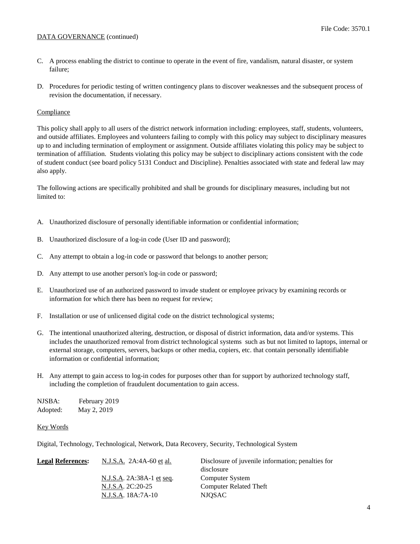# DATA GOVERNANCE (continued)

- C. A process enabling the district to continue to operate in the event of fire, vandalism, natural disaster, or system failure;
- D. Procedures for periodic testing of written contingency plans to discover weaknesses and the subsequent process of revision the documentation, if necessary.

# Compliance

This policy shall apply to all users of the district network information including: employees, staff, students, volunteers, and outside affiliates. Employees and volunteers failing to comply with this policy may subject to disciplinary measures up to and including termination of employment or assignment. Outside affiliates violating this policy may be subject to termination of affiliation. Students violating this policy may be subject to disciplinary actions consistent with the code of student conduct (see board policy 5131 Conduct and Discipline). Penalties associated with state and federal law may also apply.

The following actions are specifically prohibited and shall be grounds for disciplinary measures, including but not limited to:

- A. Unauthorized disclosure of personally identifiable information or confidential information;
- B. Unauthorized disclosure of a log-in code (User ID and password);
- C. Any attempt to obtain a log-in code or password that belongs to another person;
- D. Any attempt to use another person's log-in code or password;
- E. Unauthorized use of an authorized password to invade student or employee privacy by examining records or information for which there has been no request for review;
- F. Installation or use of unlicensed digital code on the district technological systems;
- G. The intentional unauthorized altering, destruction, or disposal of district information, data and/or systems. This includes the unauthorized removal from district technological systems such as but not limited to laptops, internal or external storage, computers, servers, backups or other media, copiers, etc. that contain personally identifiable information or confidential information;
- H. Any attempt to gain access to log-in codes for purposes other than for support by authorized technology staff, including the completion of fraudulent documentation to gain access.

| NJSBA:   | February 2019 |
|----------|---------------|
| Adopted: | May 2, 2019   |

# Key Words

Digital, Technology, Technological, Network, Data Recovery, Security, Technological System

| N.J.S.A. 2A:4A-60 et al.  | Disclosure of juvenile information; penalties for |
|---------------------------|---------------------------------------------------|
|                           | disclosure                                        |
| N.J.S.A. 2A:38A-1 et seq. | Computer System                                   |
| N.J.S.A. 2C:20-25         | <b>Computer Related Theft</b>                     |
| N.J.S.A. 18A:7A-10        | NJOSAC                                            |
|                           |                                                   |